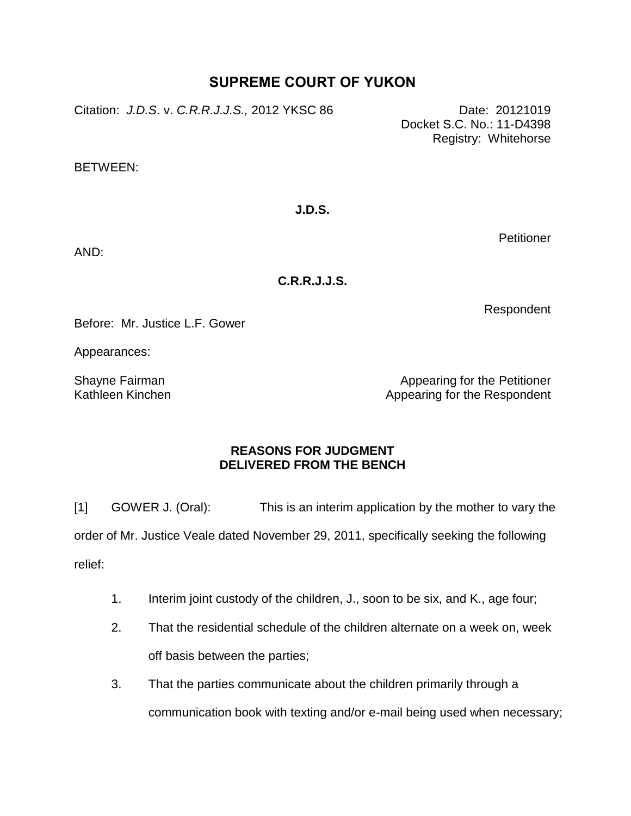## **SUPREME COURT OF YUKON**

Citation: *J.D.S*. v. *C.R.R.J.J.S.,* 2012 YKSC 86 Date: 20121019

Docket S.C. No.: 11-D4398 Registry: Whitehorse

BETWEEN:

**J.D.S.**

**Petitioner** 

AND:

**C.R.R.J.J.S.**

Respondent

Before: Mr. Justice L.F. Gower

Appearances:

Shayne Fairman Kathleen Kinchen

Appearing for the Petitioner Appearing for the Respondent

## **REASONS FOR JUDGMENT DELIVERED FROM THE BENCH**

[1] GOWER J. (Oral): This is an interim application by the mother to vary the order of Mr. Justice Veale dated November 29, 2011, specifically seeking the following

relief:

- 1. Interim joint custody of the children, J., soon to be six, and K., age four;
- 2. That the residential schedule of the children alternate on a week on, week off basis between the parties;
- 3. That the parties communicate about the children primarily through a communication book with texting and/or e-mail being used when necessary;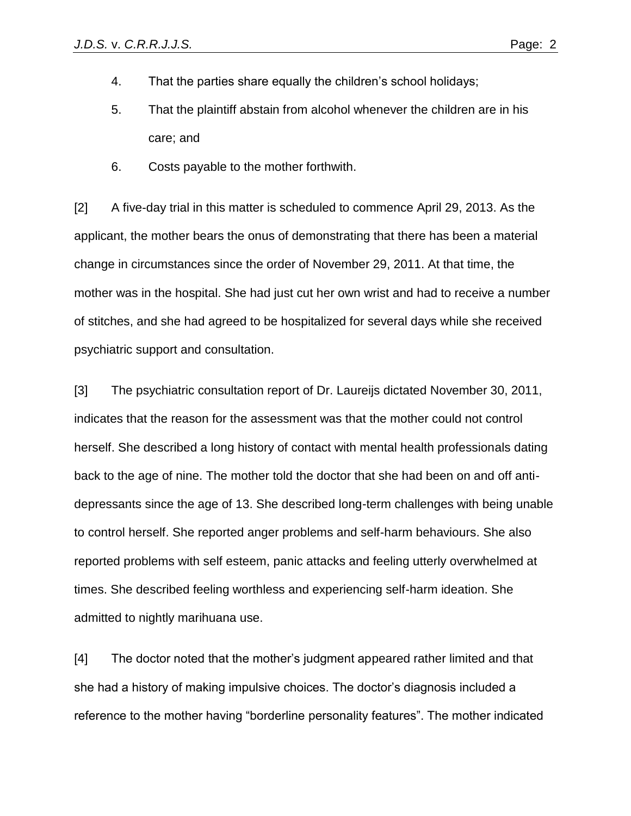- 4. That the parties share equally the children's school holidays;
- 5. That the plaintiff abstain from alcohol whenever the children are in his care; and
- 6. Costs payable to the mother forthwith.

[2] A five-day trial in this matter is scheduled to commence April 29, 2013. As the applicant, the mother bears the onus of demonstrating that there has been a material change in circumstances since the order of November 29, 2011. At that time, the mother was in the hospital. She had just cut her own wrist and had to receive a number of stitches, and she had agreed to be hospitalized for several days while she received psychiatric support and consultation.

[3] The psychiatric consultation report of Dr. Laureijs dictated November 30, 2011, indicates that the reason for the assessment was that the mother could not control herself. She described a long history of contact with mental health professionals dating back to the age of nine. The mother told the doctor that she had been on and off antidepressants since the age of 13. She described long-term challenges with being unable to control herself. She reported anger problems and self-harm behaviours. She also reported problems with self esteem, panic attacks and feeling utterly overwhelmed at times. She described feeling worthless and experiencing self-harm ideation. She admitted to nightly marihuana use.

[4] The doctor noted that the mother's judgment appeared rather limited and that she had a history of making impulsive choices. The doctor's diagnosis included a reference to the mother having "borderline personality features". The mother indicated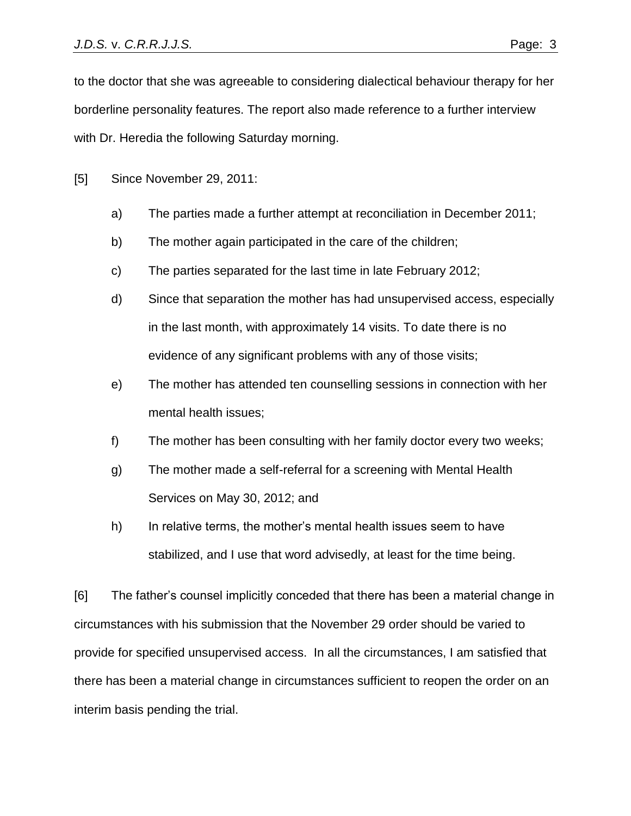to the doctor that she was agreeable to considering dialectical behaviour therapy for her borderline personality features. The report also made reference to a further interview with Dr. Heredia the following Saturday morning.

[5] Since November 29, 2011:

- a) The parties made a further attempt at reconciliation in December 2011;
- b) The mother again participated in the care of the children;
- c) The parties separated for the last time in late February 2012;
- d) Since that separation the mother has had unsupervised access, especially in the last month, with approximately 14 visits. To date there is no evidence of any significant problems with any of those visits;
- e) The mother has attended ten counselling sessions in connection with her mental health issues;
- f) The mother has been consulting with her family doctor every two weeks;
- g) The mother made a self-referral for a screening with Mental Health Services on May 30, 2012; and
- h) In relative terms, the mother's mental health issues seem to have stabilized, and I use that word advisedly, at least for the time being.

[6] The father's counsel implicitly conceded that there has been a material change in circumstances with his submission that the November 29 order should be varied to provide for specified unsupervised access. In all the circumstances, I am satisfied that there has been a material change in circumstances sufficient to reopen the order on an interim basis pending the trial.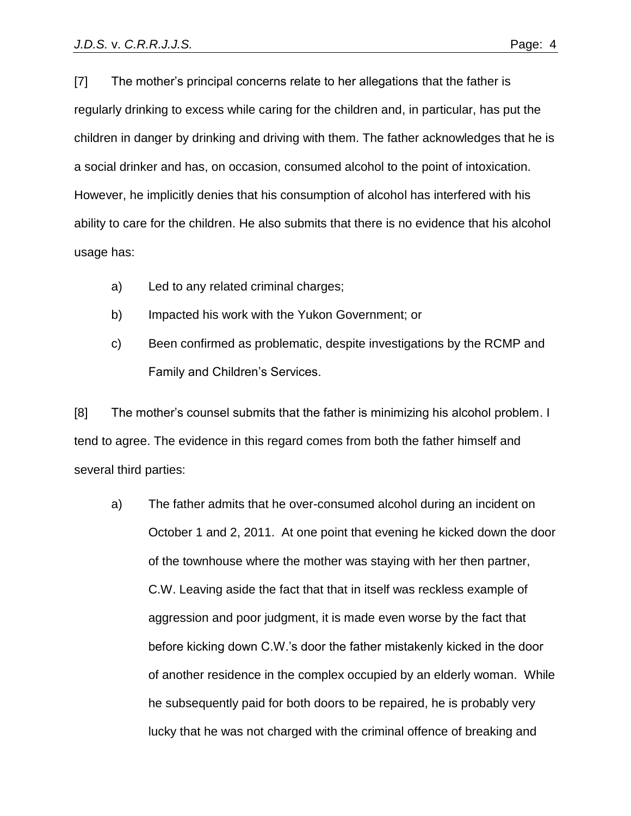[7] The mother's principal concerns relate to her allegations that the father is regularly drinking to excess while caring for the children and, in particular, has put the children in danger by drinking and driving with them. The father acknowledges that he is a social drinker and has, on occasion, consumed alcohol to the point of intoxication. However, he implicitly denies that his consumption of alcohol has interfered with his ability to care for the children. He also submits that there is no evidence that his alcohol usage has:

- a) Led to any related criminal charges;
- b) Impacted his work with the Yukon Government; or
- c) Been confirmed as problematic, despite investigations by the RCMP and Family and Children's Services.

[8] The mother's counsel submits that the father is minimizing his alcohol problem. I tend to agree. The evidence in this regard comes from both the father himself and several third parties:

a) The father admits that he over-consumed alcohol during an incident on October 1 and 2, 2011. At one point that evening he kicked down the door of the townhouse where the mother was staying with her then partner, C.W. Leaving aside the fact that that in itself was reckless example of aggression and poor judgment, it is made even worse by the fact that before kicking down C.W.'s door the father mistakenly kicked in the door of another residence in the complex occupied by an elderly woman. While he subsequently paid for both doors to be repaired, he is probably very lucky that he was not charged with the criminal offence of breaking and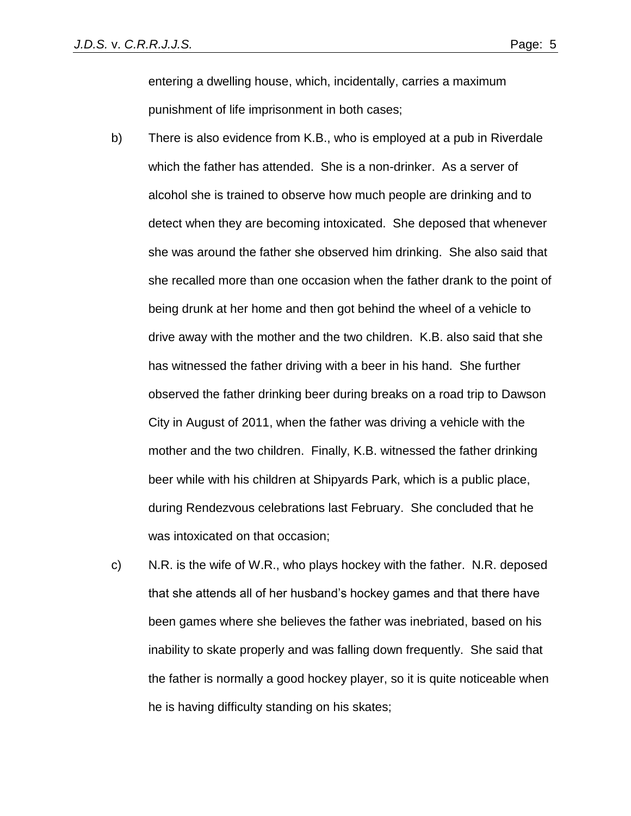entering a dwelling house, which, incidentally, carries a maximum punishment of life imprisonment in both cases;

- b) There is also evidence from K.B., who is employed at a pub in Riverdale which the father has attended. She is a non-drinker. As a server of alcohol she is trained to observe how much people are drinking and to detect when they are becoming intoxicated. She deposed that whenever she was around the father she observed him drinking. She also said that she recalled more than one occasion when the father drank to the point of being drunk at her home and then got behind the wheel of a vehicle to drive away with the mother and the two children. K.B. also said that she has witnessed the father driving with a beer in his hand. She further observed the father drinking beer during breaks on a road trip to Dawson City in August of 2011, when the father was driving a vehicle with the mother and the two children. Finally, K.B. witnessed the father drinking beer while with his children at Shipyards Park, which is a public place, during Rendezvous celebrations last February. She concluded that he was intoxicated on that occasion;
- c) N.R. is the wife of W.R., who plays hockey with the father. N.R. deposed that she attends all of her husband's hockey games and that there have been games where she believes the father was inebriated, based on his inability to skate properly and was falling down frequently. She said that the father is normally a good hockey player, so it is quite noticeable when he is having difficulty standing on his skates;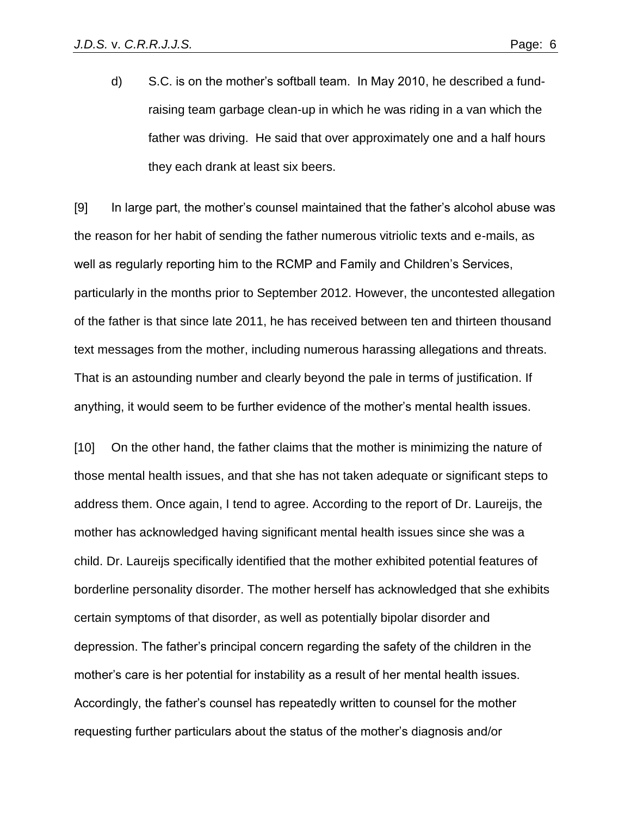d) S.C. is on the mother's softball team. In May 2010, he described a fundraising team garbage clean-up in which he was riding in a van which the father was driving. He said that over approximately one and a half hours they each drank at least six beers.

[9] In large part, the mother's counsel maintained that the father's alcohol abuse was the reason for her habit of sending the father numerous vitriolic texts and e-mails, as well as regularly reporting him to the RCMP and Family and Children's Services, particularly in the months prior to September 2012. However, the uncontested allegation of the father is that since late 2011, he has received between ten and thirteen thousand text messages from the mother, including numerous harassing allegations and threats. That is an astounding number and clearly beyond the pale in terms of justification. If anything, it would seem to be further evidence of the mother's mental health issues.

[10] On the other hand, the father claims that the mother is minimizing the nature of those mental health issues, and that she has not taken adequate or significant steps to address them. Once again, I tend to agree. According to the report of Dr. Laureijs, the mother has acknowledged having significant mental health issues since she was a child. Dr. Laureijs specifically identified that the mother exhibited potential features of borderline personality disorder. The mother herself has acknowledged that she exhibits certain symptoms of that disorder, as well as potentially bipolar disorder and depression. The father's principal concern regarding the safety of the children in the mother's care is her potential for instability as a result of her mental health issues. Accordingly, the father's counsel has repeatedly written to counsel for the mother requesting further particulars about the status of the mother's diagnosis and/or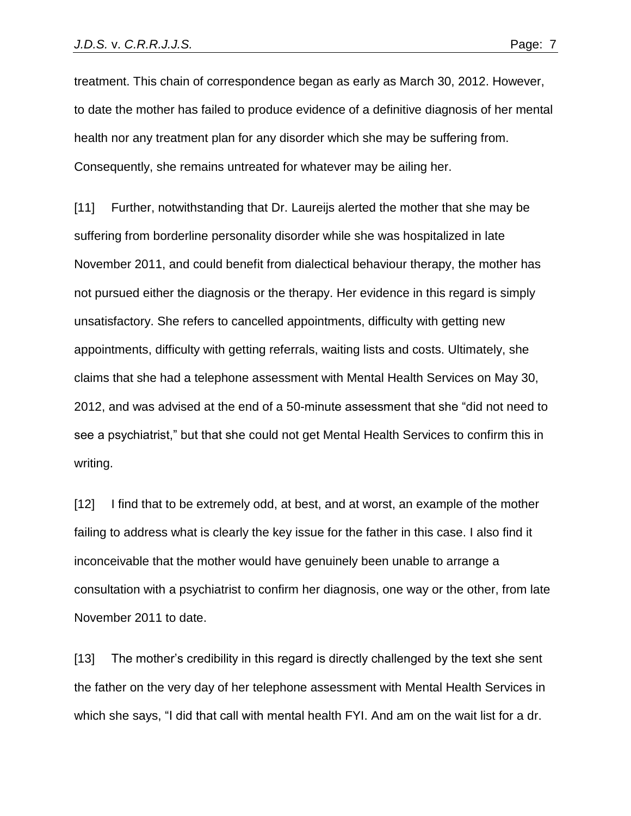treatment. This chain of correspondence began as early as March 30, 2012. However, to date the mother has failed to produce evidence of a definitive diagnosis of her mental health nor any treatment plan for any disorder which she may be suffering from. Consequently, she remains untreated for whatever may be ailing her.

[11] Further, notwithstanding that Dr. Laureijs alerted the mother that she may be suffering from borderline personality disorder while she was hospitalized in late November 2011, and could benefit from dialectical behaviour therapy, the mother has not pursued either the diagnosis or the therapy. Her evidence in this regard is simply unsatisfactory. She refers to cancelled appointments, difficulty with getting new appointments, difficulty with getting referrals, waiting lists and costs. Ultimately, she claims that she had a telephone assessment with Mental Health Services on May 30, 2012, and was advised at the end of a 50-minute assessment that she "did not need to see a psychiatrist," but that she could not get Mental Health Services to confirm this in writing.

[12] I find that to be extremely odd, at best, and at worst, an example of the mother failing to address what is clearly the key issue for the father in this case. I also find it inconceivable that the mother would have genuinely been unable to arrange a consultation with a psychiatrist to confirm her diagnosis, one way or the other, from late November 2011 to date.

[13] The mother's credibility in this regard is directly challenged by the text she sent the father on the very day of her telephone assessment with Mental Health Services in which she says, "I did that call with mental health FYI. And am on the wait list for a dr.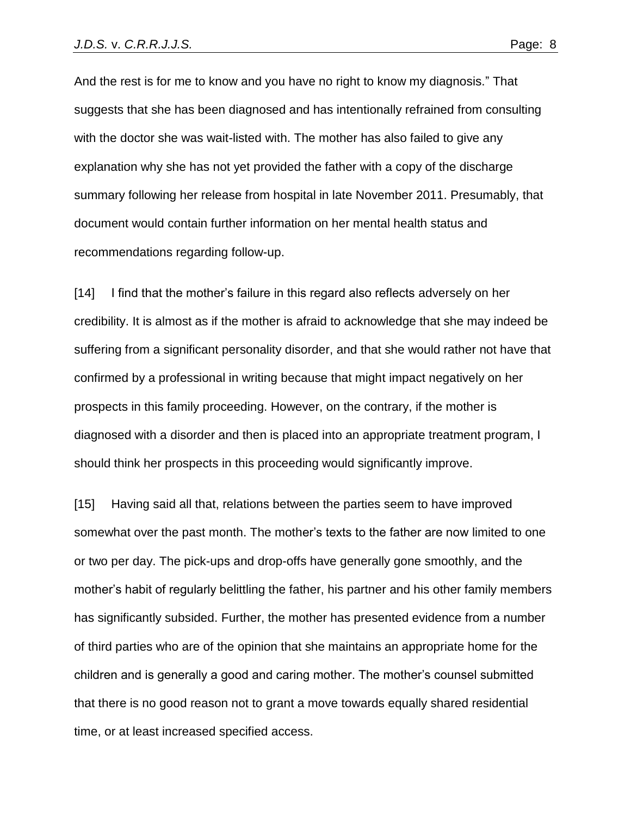And the rest is for me to know and you have no right to know my diagnosis." That suggests that she has been diagnosed and has intentionally refrained from consulting with the doctor she was wait-listed with. The mother has also failed to give any explanation why she has not yet provided the father with a copy of the discharge summary following her release from hospital in late November 2011. Presumably, that document would contain further information on her mental health status and recommendations regarding follow-up.

[14] I find that the mother's failure in this regard also reflects adversely on her credibility. It is almost as if the mother is afraid to acknowledge that she may indeed be suffering from a significant personality disorder, and that she would rather not have that confirmed by a professional in writing because that might impact negatively on her prospects in this family proceeding. However, on the contrary, if the mother is diagnosed with a disorder and then is placed into an appropriate treatment program, I should think her prospects in this proceeding would significantly improve.

[15] Having said all that, relations between the parties seem to have improved somewhat over the past month. The mother's texts to the father are now limited to one or two per day. The pick-ups and drop-offs have generally gone smoothly, and the mother's habit of regularly belittling the father, his partner and his other family members has significantly subsided. Further, the mother has presented evidence from a number of third parties who are of the opinion that she maintains an appropriate home for the children and is generally a good and caring mother. The mother's counsel submitted that there is no good reason not to grant a move towards equally shared residential time, or at least increased specified access.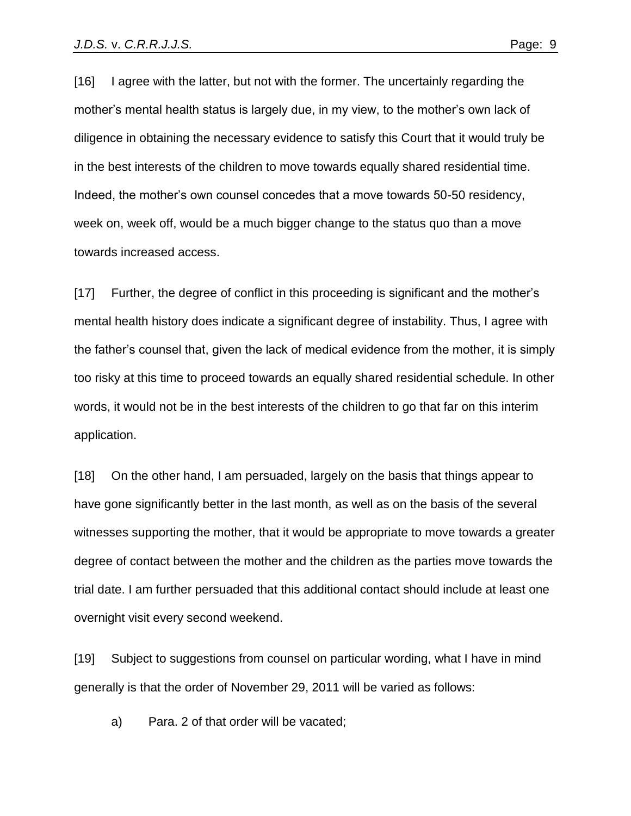[16] I agree with the latter, but not with the former. The uncertainly regarding the mother's mental health status is largely due, in my view, to the mother's own lack of diligence in obtaining the necessary evidence to satisfy this Court that it would truly be in the best interests of the children to move towards equally shared residential time. Indeed, the mother's own counsel concedes that a move towards 50-50 residency, week on, week off, would be a much bigger change to the status quo than a move towards increased access.

[17] Further, the degree of conflict in this proceeding is significant and the mother's mental health history does indicate a significant degree of instability. Thus, I agree with the father's counsel that, given the lack of medical evidence from the mother, it is simply too risky at this time to proceed towards an equally shared residential schedule. In other words, it would not be in the best interests of the children to go that far on this interim application.

[18] On the other hand, I am persuaded, largely on the basis that things appear to have gone significantly better in the last month, as well as on the basis of the several witnesses supporting the mother, that it would be appropriate to move towards a greater degree of contact between the mother and the children as the parties move towards the trial date. I am further persuaded that this additional contact should include at least one overnight visit every second weekend.

[19] Subject to suggestions from counsel on particular wording, what I have in mind generally is that the order of November 29, 2011 will be varied as follows:

a) Para. 2 of that order will be vacated;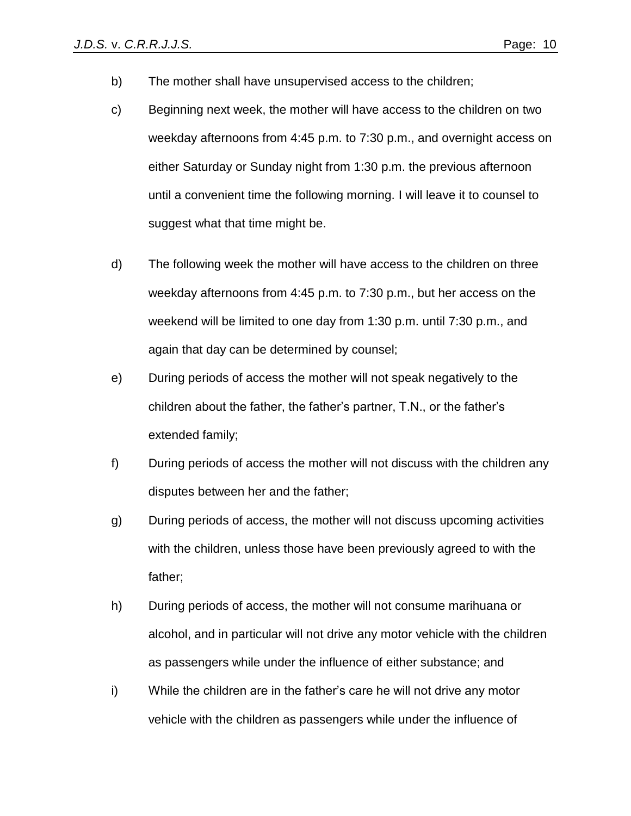- b) The mother shall have unsupervised access to the children;
- c) Beginning next week, the mother will have access to the children on two weekday afternoons from 4:45 p.m. to 7:30 p.m., and overnight access on either Saturday or Sunday night from 1:30 p.m. the previous afternoon until a convenient time the following morning. I will leave it to counsel to suggest what that time might be.
- d) The following week the mother will have access to the children on three weekday afternoons from 4:45 p.m. to 7:30 p.m., but her access on the weekend will be limited to one day from 1:30 p.m. until 7:30 p.m., and again that day can be determined by counsel;
- e) During periods of access the mother will not speak negatively to the children about the father, the father's partner, T.N., or the father's extended family;
- f) During periods of access the mother will not discuss with the children any disputes between her and the father;
- g) During periods of access, the mother will not discuss upcoming activities with the children, unless those have been previously agreed to with the father;
- h) During periods of access, the mother will not consume marihuana or alcohol, and in particular will not drive any motor vehicle with the children as passengers while under the influence of either substance; and
- i) While the children are in the father's care he will not drive any motor vehicle with the children as passengers while under the influence of